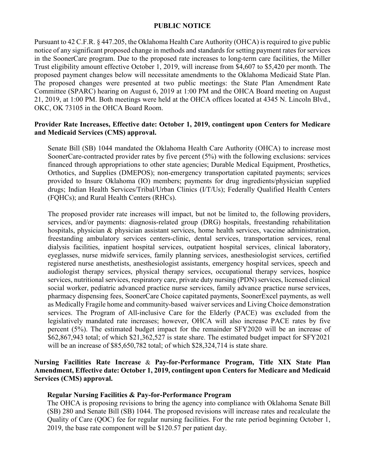## **PUBLIC NOTICE**

Pursuant to 42 C.F.R. § 447.205, the Oklahoma Health Care Authority (OHCA) is required to give public notice of any significant proposed change in methods and standards for setting payment rates for services in the SoonerCare program. Due to the proposed rate increases to long-term care facilities, the Miller Trust eligibility amount effective October 1, 2019, will increase from \$4,607 to \$5,420 per month. The proposed payment changes below will necessitate amendments to the Oklahoma Medicaid State Plan. The proposed changes were presented at two public meetings: the State Plan Amendment Rate Committee (SPARC) hearing on August 6, 2019 at 1:00 PM and the OHCA Board meeting on August 21, 2019, at 1:00 PM. Both meetings were held at the OHCA offices located at 4345 N. Lincoln Blvd., OKC, OK 73105 in the OHCA Board Room.

## **Provider Rate Increases, Effective date: October 1, 2019, contingent upon Centers for Medicare and Medicaid Services (CMS) approval.**

Senate Bill (SB) 1044 mandated the Oklahoma Health Care Authority (OHCA) to increase most SoonerCare-contracted provider rates by five percent (5%) with the following exclusions: services financed through appropriations to other state agencies; Durable Medical Equipment, Prosthetics, Orthotics, and Supplies (DMEPOS); non-emergency transportation capitated payments; services provided to Insure Oklahoma (IO) members; payments for drug ingredients/physician supplied drugs; Indian Health Services/Tribal/Urban Clinics (I/T/Us); Federally Qualified Health Centers (FQHCs); and Rural Health Centers (RHCs).

The proposed provider rate increases will impact, but not be limited to, the following providers, services, and/or payments: diagnosis-related group (DRG) hospitals, freestanding rehabilitation hospitals, physician & physician assistant services, home health services, vaccine administration, freestanding ambulatory services centers-clinic, dental services, transportation services, renal dialysis facilities, inpatient hospital services, outpatient hospital services, clinical laboratory, eyeglasses, nurse midwife services, family planning services, anesthesiologist services, certified registered nurse anesthetists, anesthesiologist assistants, emergency hospital services, speech and audiologist therapy services, physical therapy services, occupational therapy services, hospice services, nutritional services, respiratory care, private duty nursing (PDN) services, licensed clinical social worker, pediatric advanced practice nurse services, family advance practice nurse services, pharmacy dispensing fees, SoonerCare Choice capitated payments, SoonerExcel payments, as well as Medically Fragile home and community-based waiver services and Living Choice demonstration services. The Program of All-inclusive Care for the Elderly (PACE) was excluded from the legislatively mandated rate increases; however, OHCA will also increase PACE rates by five percent (5%). The estimated budget impact for the remainder SFY2020 will be an increase of \$62,867,943 total; of which \$21,362,527 is state share. The estimated budget impact for SFY2021 will be an increase of \$85,650,782 total; of which \$28,324,714 is state share.

# **Nursing Facilities Rate Increase** & **Pay-for-Performance Program, Title XIX State Plan Amendment, Effective date: October 1, 2019, contingent upon Centers for Medicare and Medicaid Services (CMS) approval.**

### **Regular Nursing Facilities & Pay-for-Performance Program**

The OHCA is proposing revisions to bring the agency into compliance with Oklahoma Senate Bill (SB) 280 and Senate Bill (SB) 1044. The proposed revisions will increase rates and recalculate the Quality of Care (QOC) fee for regular nursing facilities. For the rate period beginning October 1, 2019, the base rate component will be \$120.57 per patient day.